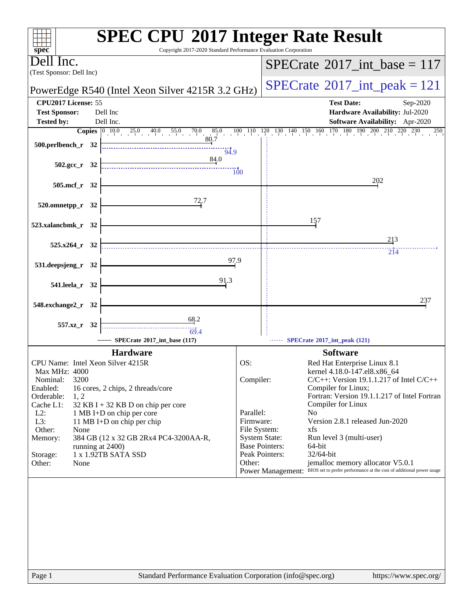| <b>SPEC CPU®2017 Integer Rate Result</b><br>Copyright 2017-2020 Standard Performance Evaluation Corporation<br>$spec^*$                                                                                                                                                                                                         |                           |                                                                                                                            |
|---------------------------------------------------------------------------------------------------------------------------------------------------------------------------------------------------------------------------------------------------------------------------------------------------------------------------------|---------------------------|----------------------------------------------------------------------------------------------------------------------------|
| Dell Inc.                                                                                                                                                                                                                                                                                                                       |                           | $SPECrate^{\circ}2017\_int\_base = 117$                                                                                    |
| (Test Sponsor: Dell Inc)                                                                                                                                                                                                                                                                                                        |                           |                                                                                                                            |
| PowerEdge R540 (Intel Xeon Silver 4215R 3.2 GHz)                                                                                                                                                                                                                                                                                |                           | $SPECrate^{\circ}2017\_int\_peak = 121$                                                                                    |
| CPU2017 License: 55                                                                                                                                                                                                                                                                                                             |                           | <b>Test Date:</b><br>Sep-2020                                                                                              |
| <b>Test Sponsor:</b><br>Dell Inc<br>Dell Inc.<br><b>Tested by:</b>                                                                                                                                                                                                                                                              |                           | Hardware Availability: Jul-2020<br>Software Availability: Apr-2020                                                         |
| <b>Copies</b> $\begin{bmatrix} 0 & 10 & 0 & 25 & 0 & 40 & 55 & 0 \\ 0 & 0 & 0 & 25 & 0 & 55 & 0 \\ 0 & 0 & 0 & 0 & 0 & 55 & 0 \\ 0 & 0 & 0 & 0 & 0 & 0 & 0 \\ 0 & 0 & 0 & 0 & 0 & 0 & 0 \\ 0 & 0 & 0 & 0 & 0 & 0 & 0 \\ 0 & 0 & 0 & 0 & 0 & 0 & 0 \\ 0 & 0 & 0 & 0 & 0 & 0 & 0 \\ 0 & 0 & 0 & 0 & 0 & 0 & 0 & 0 \\ 0 &$<br>70.0 | $85.0$ $100$ $110$ $120$  | $130$ $140$ $150$ $160$ $170$ $180$ $190$ $200$ $210$ $220$ $230$<br>250                                                   |
| 80.7<br>500.perlbench_r 32                                                                                                                                                                                                                                                                                                      |                           |                                                                                                                            |
| 94.9<br>84.0                                                                                                                                                                                                                                                                                                                    |                           |                                                                                                                            |
| $502.\text{gcc}_r$ 32                                                                                                                                                                                                                                                                                                           | 100                       |                                                                                                                            |
| 505.mcf_r 32                                                                                                                                                                                                                                                                                                                    |                           | 202                                                                                                                        |
| 72.7                                                                                                                                                                                                                                                                                                                            |                           |                                                                                                                            |
| 520.omnetpp_r 32                                                                                                                                                                                                                                                                                                                |                           |                                                                                                                            |
| 523.xalancbmk_r 32                                                                                                                                                                                                                                                                                                              |                           | 157                                                                                                                        |
|                                                                                                                                                                                                                                                                                                                                 |                           | 213                                                                                                                        |
| 525.x264_r 32                                                                                                                                                                                                                                                                                                                   |                           | 214                                                                                                                        |
| 97.9<br>531.deepsjeng_r 32                                                                                                                                                                                                                                                                                                      |                           |                                                                                                                            |
| 91.3                                                                                                                                                                                                                                                                                                                            |                           |                                                                                                                            |
| 541.leela_r 32                                                                                                                                                                                                                                                                                                                  |                           |                                                                                                                            |
| 548.exchange2_r 32                                                                                                                                                                                                                                                                                                              |                           | 237                                                                                                                        |
| 68.2                                                                                                                                                                                                                                                                                                                            |                           |                                                                                                                            |
| 557.xz_r 32<br>69.4                                                                                                                                                                                                                                                                                                             |                           |                                                                                                                            |
| SPECrate®2017_int_base (117)                                                                                                                                                                                                                                                                                                    |                           | SPECrate®2017_int_peak (121)                                                                                               |
| <b>Hardware</b>                                                                                                                                                                                                                                                                                                                 | OS:                       | <b>Software</b>                                                                                                            |
| CPU Name: Intel Xeon Silver 4215R<br>Max MHz: 4000                                                                                                                                                                                                                                                                              |                           | Red Hat Enterprise Linux 8.1<br>kernel 4.18.0-147.el8.x86_64                                                               |
| 3200<br>Nominal:                                                                                                                                                                                                                                                                                                                | Compiler:                 | $C/C++$ : Version 19.1.1.217 of Intel $C/C++$                                                                              |
| Enabled:<br>16 cores, 2 chips, 2 threads/core<br>Orderable:<br>1, 2                                                                                                                                                                                                                                                             |                           | Compiler for Linux;<br>Fortran: Version 19.1.1.217 of Intel Fortran                                                        |
| Cache L1:<br>32 KB I + 32 KB D on chip per core                                                                                                                                                                                                                                                                                 |                           | Compiler for Linux                                                                                                         |
| $L2$ :<br>1 MB I+D on chip per core                                                                                                                                                                                                                                                                                             | Parallel:                 | N <sub>0</sub>                                                                                                             |
| L3:<br>11 MB I+D on chip per chip<br>Other:<br>None                                                                                                                                                                                                                                                                             | Firmware:<br>File System: | Version 2.8.1 released Jun-2020<br>xfs                                                                                     |
| Memory:<br>384 GB (12 x 32 GB 2Rx4 PC4-3200AA-R,                                                                                                                                                                                                                                                                                | <b>System State:</b>      | Run level 3 (multi-user)                                                                                                   |
| running at 2400)                                                                                                                                                                                                                                                                                                                | <b>Base Pointers:</b>     | 64-bit                                                                                                                     |
| 1 x 1.92TB SATA SSD<br>Storage:                                                                                                                                                                                                                                                                                                 | Peak Pointers:            | 32/64-bit                                                                                                                  |
| Other:<br>None                                                                                                                                                                                                                                                                                                                  | Other:                    | jemalloc memory allocator V5.0.1<br>Power Management: BIOS set to prefer performance at the cost of additional power usage |
|                                                                                                                                                                                                                                                                                                                                 |                           |                                                                                                                            |
|                                                                                                                                                                                                                                                                                                                                 |                           |                                                                                                                            |
|                                                                                                                                                                                                                                                                                                                                 |                           |                                                                                                                            |
|                                                                                                                                                                                                                                                                                                                                 |                           |                                                                                                                            |
|                                                                                                                                                                                                                                                                                                                                 |                           |                                                                                                                            |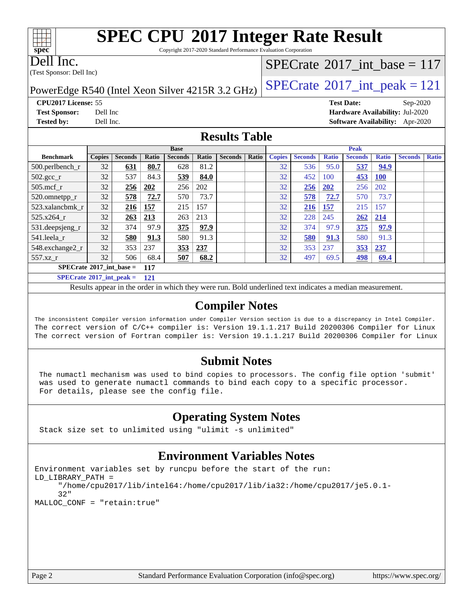Copyright 2017-2020 Standard Performance Evaluation Corporation

Dell Inc.

**[spec](http://www.spec.org/)**

 $\pm\pm\prime$ 

(Test Sponsor: Dell Inc)

### $SPECTate$ <sup>®</sup>[2017\\_int\\_base =](http://www.spec.org/auto/cpu2017/Docs/result-fields.html#SPECrate2017intbase) 117

PowerEdge R540 (Intel Xeon Silver 4215R 3.2 GHz)  $\left|$  [SPECrate](http://www.spec.org/auto/cpu2017/Docs/result-fields.html#SPECrate2017intpeak)<sup>®</sup>[2017\\_int\\_peak = 1](http://www.spec.org/auto/cpu2017/Docs/result-fields.html#SPECrate2017intpeak)21

**[Tested by:](http://www.spec.org/auto/cpu2017/Docs/result-fields.html#Testedby)** Dell Inc. **[Software Availability:](http://www.spec.org/auto/cpu2017/Docs/result-fields.html#SoftwareAvailability)** Apr-2020

**[CPU2017 License:](http://www.spec.org/auto/cpu2017/Docs/result-fields.html#CPU2017License)** 55 **[Test Date:](http://www.spec.org/auto/cpu2017/Docs/result-fields.html#TestDate)** Sep-2020 **[Test Sponsor:](http://www.spec.org/auto/cpu2017/Docs/result-fields.html#TestSponsor)** Dell Inc **[Hardware Availability:](http://www.spec.org/auto/cpu2017/Docs/result-fields.html#HardwareAvailability)** Jul-2020

#### **[Results Table](http://www.spec.org/auto/cpu2017/Docs/result-fields.html#ResultsTable)**

|                                          | <b>Base</b>   |                |       |                |       | <b>Peak</b>    |       |               |                |              |                |              |                |              |
|------------------------------------------|---------------|----------------|-------|----------------|-------|----------------|-------|---------------|----------------|--------------|----------------|--------------|----------------|--------------|
| <b>Benchmark</b>                         | <b>Copies</b> | <b>Seconds</b> | Ratio | <b>Seconds</b> | Ratio | <b>Seconds</b> | Ratio | <b>Copies</b> | <b>Seconds</b> | <b>Ratio</b> | <b>Seconds</b> | <b>Ratio</b> | <b>Seconds</b> | <b>Ratio</b> |
| $500.$ perlbench_r                       | 32            | <u>631</u>     | 80.7  | 628            | 81.2  |                |       | 32            | 536            | 95.0         | 537            | 94.9         |                |              |
| $502.\text{sec}$                         | 32            | 537            | 84.3  | 539            | 84.0  |                |       | 32            | 452            | 100          | 453            | <b>100</b>   |                |              |
| $505$ .mcf r                             | 32            | 256            | 202   | 256            | 202   |                |       | 32            | 256            | 202          | 256            | 202          |                |              |
| 520.omnetpp_r                            | 32            | 578            | 72.7  | 570            | 73.7  |                |       | 32            | 578            | 72.7         | 570            | 73.7         |                |              |
| 523.xalancbmk r                          | 32            | <u>216</u>     | 157   | 215            | 157   |                |       | 32            | 216            | <u>157</u>   | 215            | 157          |                |              |
| 525.x264 r                               | 32            | 263            | 213   | 263            | 213   |                |       | 32            | 228            | 245          | 262            | 214          |                |              |
| 531.deepsjeng_r                          | 32            | 374            | 97.9  | 375            | 97.9  |                |       | 32            | 374            | 97.9         | 375            | 97.9         |                |              |
| 541.leela r                              | 32            | 580            | 91.3  | 580            | 91.3  |                |       | 32            | 580            | 91.3         | 580            | 91.3         |                |              |
| 548.exchange2_r                          | 32            | 353            | 237   | 353            | 237   |                |       | 32            | 353            | 237          | 353            | 237          |                |              |
| $557.xz$ r                               | 32            | 506            | 68.4  | 507            | 68.2  |                |       | 32            | 497            | 69.5         | <u>498</u>     | 69.4         |                |              |
| $SPECrate^{\circ}2017$ int base =<br>117 |               |                |       |                |       |                |       |               |                |              |                |              |                |              |
| $SPECrate^{\circ}2017$ int peak =        |               |                | 121   |                |       |                |       |               |                |              |                |              |                |              |

Results appear in the [order in which they were run.](http://www.spec.org/auto/cpu2017/Docs/result-fields.html#RunOrder) Bold underlined text [indicates a median measurement.](http://www.spec.org/auto/cpu2017/Docs/result-fields.html#Median)

#### **[Compiler Notes](http://www.spec.org/auto/cpu2017/Docs/result-fields.html#CompilerNotes)**

The inconsistent Compiler version information under Compiler Version section is due to a discrepancy in Intel Compiler. The correct version of C/C++ compiler is: Version 19.1.1.217 Build 20200306 Compiler for Linux The correct version of Fortran compiler is: Version 19.1.1.217 Build 20200306 Compiler for Linux

#### **[Submit Notes](http://www.spec.org/auto/cpu2017/Docs/result-fields.html#SubmitNotes)**

 The numactl mechanism was used to bind copies to processors. The config file option 'submit' was used to generate numactl commands to bind each copy to a specific processor. For details, please see the config file.

### **[Operating System Notes](http://www.spec.org/auto/cpu2017/Docs/result-fields.html#OperatingSystemNotes)**

Stack size set to unlimited using "ulimit -s unlimited"

### **[Environment Variables Notes](http://www.spec.org/auto/cpu2017/Docs/result-fields.html#EnvironmentVariablesNotes)**

```
Environment variables set by runcpu before the start of the run:
LD_LIBRARY_PATH =
      "/home/cpu2017/lib/intel64:/home/cpu2017/lib/ia32:/home/cpu2017/je5.0.1-
      32"
MALLOC_CONF = "retain:true"
```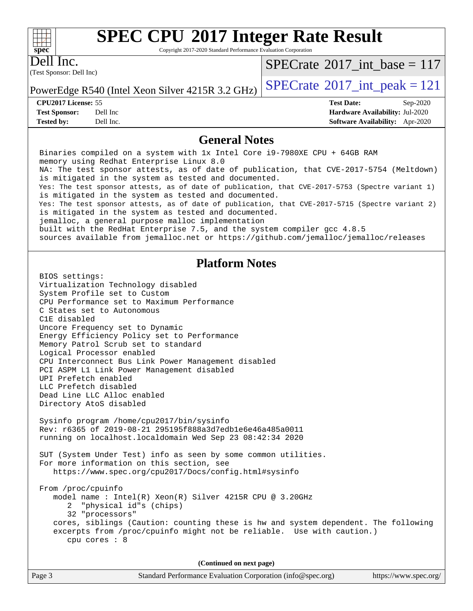Copyright 2017-2020 Standard Performance Evaluation Corporation

Dell Inc.

**[spec](http://www.spec.org/)**

 $+\,$ H

(Test Sponsor: Dell Inc)

 $SPECTate$ <sup>®</sup>[2017\\_int\\_base =](http://www.spec.org/auto/cpu2017/Docs/result-fields.html#SPECrate2017intbase) 117

PowerEdge R540 (Intel Xeon Silver 4215R 3.2 GHz)  $\left|$  [SPECrate](http://www.spec.org/auto/cpu2017/Docs/result-fields.html#SPECrate2017intpeak)<sup>®</sup>[2017\\_int\\_peak = 1](http://www.spec.org/auto/cpu2017/Docs/result-fields.html#SPECrate2017intpeak)21

**[CPU2017 License:](http://www.spec.org/auto/cpu2017/Docs/result-fields.html#CPU2017License)** 55 **[Test Date:](http://www.spec.org/auto/cpu2017/Docs/result-fields.html#TestDate)** Sep-2020

**[Test Sponsor:](http://www.spec.org/auto/cpu2017/Docs/result-fields.html#TestSponsor)** Dell Inc **[Hardware Availability:](http://www.spec.org/auto/cpu2017/Docs/result-fields.html#HardwareAvailability)** Jul-2020 **[Tested by:](http://www.spec.org/auto/cpu2017/Docs/result-fields.html#Testedby)** Dell Inc. **[Software Availability:](http://www.spec.org/auto/cpu2017/Docs/result-fields.html#SoftwareAvailability)** Apr-2020

#### **[General Notes](http://www.spec.org/auto/cpu2017/Docs/result-fields.html#GeneralNotes)**

Page 3 Standard Performance Evaluation Corporation [\(info@spec.org\)](mailto:info@spec.org) <https://www.spec.org/> Binaries compiled on a system with 1x Intel Core i9-7980XE CPU + 64GB RAM memory using Redhat Enterprise Linux 8.0 NA: The test sponsor attests, as of date of publication, that CVE-2017-5754 (Meltdown) is mitigated in the system as tested and documented. Yes: The test sponsor attests, as of date of publication, that CVE-2017-5753 (Spectre variant 1) is mitigated in the system as tested and documented. Yes: The test sponsor attests, as of date of publication, that CVE-2017-5715 (Spectre variant 2) is mitigated in the system as tested and documented. jemalloc, a general purpose malloc implementation built with the RedHat Enterprise 7.5, and the system compiler gcc 4.8.5 sources available from jemalloc.net or<https://github.com/jemalloc/jemalloc/releases> **[Platform Notes](http://www.spec.org/auto/cpu2017/Docs/result-fields.html#PlatformNotes)** BIOS settings: Virtualization Technology disabled System Profile set to Custom CPU Performance set to Maximum Performance C States set to Autonomous C1E disabled Uncore Frequency set to Dynamic Energy Efficiency Policy set to Performance Memory Patrol Scrub set to standard Logical Processor enabled CPU Interconnect Bus Link Power Management disabled PCI ASPM L1 Link Power Management disabled UPI Prefetch enabled LLC Prefetch disabled Dead Line LLC Alloc enabled Directory AtoS disabled Sysinfo program /home/cpu2017/bin/sysinfo Rev: r6365 of 2019-08-21 295195f888a3d7edb1e6e46a485a0011 running on localhost.localdomain Wed Sep 23 08:42:34 2020 SUT (System Under Test) info as seen by some common utilities. For more information on this section, see <https://www.spec.org/cpu2017/Docs/config.html#sysinfo> From /proc/cpuinfo model name : Intel(R) Xeon(R) Silver 4215R CPU @ 3.20GHz 2 "physical id"s (chips) 32 "processors" cores, siblings (Caution: counting these is hw and system dependent. The following excerpts from /proc/cpuinfo might not be reliable. Use with caution.) cpu cores : 8 **(Continued on next page)**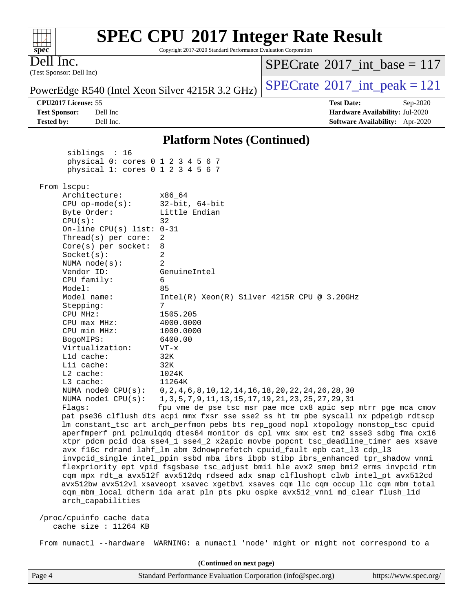| $spec^*$          |                                                                                                                                                                        |                                                   |  | Copyright 2017-2020 Standard Performance Evaluation Corporation                      |                                         |                   |                                 |  |
|-------------------|------------------------------------------------------------------------------------------------------------------------------------------------------------------------|---------------------------------------------------|--|--------------------------------------------------------------------------------------|-----------------------------------------|-------------------|---------------------------------|--|
| Dell Inc.         |                                                                                                                                                                        |                                                   |  |                                                                                      | $SPECrate^{\circ}2017\_int\_base = 117$ |                   |                                 |  |
|                   | (Test Sponsor: Dell Inc)                                                                                                                                               |                                                   |  |                                                                                      |                                         |                   |                                 |  |
|                   |                                                                                                                                                                        |                                                   |  | PowerEdge R540 (Intel Xeon Silver 4215R 3.2 GHz)                                     | $SPECTate@2017_int\_peak = 121$         |                   |                                 |  |
|                   | CPU2017 License: 55                                                                                                                                                    |                                                   |  |                                                                                      |                                         | <b>Test Date:</b> | Sep-2020                        |  |
|                   | <b>Test Sponsor:</b>                                                                                                                                                   | Dell Inc                                          |  |                                                                                      |                                         |                   | Hardware Availability: Jul-2020 |  |
| <b>Tested by:</b> |                                                                                                                                                                        | Dell Inc.                                         |  |                                                                                      |                                         |                   | Software Availability: Apr-2020 |  |
|                   |                                                                                                                                                                        |                                                   |  |                                                                                      |                                         |                   |                                 |  |
|                   |                                                                                                                                                                        |                                                   |  | <b>Platform Notes (Continued)</b>                                                    |                                         |                   |                                 |  |
|                   |                                                                                                                                                                        | siblings : 16                                     |  |                                                                                      |                                         |                   |                                 |  |
|                   |                                                                                                                                                                        |                                                   |  | physical 0: cores 0 1 2 3 4 5 6 7                                                    |                                         |                   |                                 |  |
|                   |                                                                                                                                                                        |                                                   |  | physical 1: cores 0 1 2 3 4 5 6 7                                                    |                                         |                   |                                 |  |
|                   | From 1scpu:                                                                                                                                                            |                                                   |  |                                                                                      |                                         |                   |                                 |  |
|                   |                                                                                                                                                                        | Architecture:                                     |  | x86 64                                                                               |                                         |                   |                                 |  |
|                   |                                                                                                                                                                        | $CPU$ op-mode( $s$ ):                             |  | $32$ -bit, $64$ -bit                                                                 |                                         |                   |                                 |  |
|                   |                                                                                                                                                                        | Byte Order:                                       |  | Little Endian                                                                        |                                         |                   |                                 |  |
|                   | CPU(s):                                                                                                                                                                |                                                   |  | 32                                                                                   |                                         |                   |                                 |  |
|                   |                                                                                                                                                                        | On-line CPU(s) list: $0-31$                       |  |                                                                                      |                                         |                   |                                 |  |
|                   |                                                                                                                                                                        | Thread( $s$ ) per core:                           |  | 2                                                                                    |                                         |                   |                                 |  |
|                   |                                                                                                                                                                        | Core(s) per socket:                               |  | 8                                                                                    |                                         |                   |                                 |  |
|                   | Socket(s):                                                                                                                                                             |                                                   |  | 2                                                                                    |                                         |                   |                                 |  |
|                   | Vendor ID:                                                                                                                                                             | NUMA $node(s):$                                   |  | 2<br>GenuineIntel                                                                    |                                         |                   |                                 |  |
|                   |                                                                                                                                                                        | CPU family:                                       |  | 6                                                                                    |                                         |                   |                                 |  |
|                   | Model:                                                                                                                                                                 |                                                   |  | 85                                                                                   |                                         |                   |                                 |  |
|                   |                                                                                                                                                                        | Model name:                                       |  | $Intel(R) Xeon(R) Silver 4215R CPU @ 3.20GHz$                                        |                                         |                   |                                 |  |
|                   | Stepping:                                                                                                                                                              |                                                   |  | 7                                                                                    |                                         |                   |                                 |  |
|                   | CPU MHz:                                                                                                                                                               |                                                   |  | 1505.205                                                                             |                                         |                   |                                 |  |
|                   |                                                                                                                                                                        | $CPU$ max $MHz:$                                  |  | 4000.0000                                                                            |                                         |                   |                                 |  |
|                   |                                                                                                                                                                        | CPU min MHz:                                      |  | 1000.0000                                                                            |                                         |                   |                                 |  |
|                   | BogoMIPS:                                                                                                                                                              |                                                   |  | 6400.00                                                                              |                                         |                   |                                 |  |
|                   |                                                                                                                                                                        | Virtualization:                                   |  | VT-x                                                                                 |                                         |                   |                                 |  |
|                   | Lld cache:                                                                                                                                                             |                                                   |  | 32K                                                                                  |                                         |                   |                                 |  |
|                   | Lli cache:                                                                                                                                                             |                                                   |  | 32K                                                                                  |                                         |                   |                                 |  |
|                   | L2 cache:<br>L3 cache:                                                                                                                                                 |                                                   |  | 1024K<br>11264K                                                                      |                                         |                   |                                 |  |
|                   |                                                                                                                                                                        | NUMA $node0$ $CPU(s)$ :                           |  | 0, 2, 4, 6, 8, 10, 12, 14, 16, 18, 20, 22, 24, 26, 28, 30                            |                                         |                   |                                 |  |
|                   |                                                                                                                                                                        | NUMA $node1$ $CPU(s)$ :                           |  | 1, 3, 5, 7, 9, 11, 13, 15, 17, 19, 21, 23, 25, 27, 29, 31                            |                                         |                   |                                 |  |
|                   | Flagg:                                                                                                                                                                 |                                                   |  | fpu vme de pse tsc msr pae mce cx8 apic sep mtrr pge mca cmov                        |                                         |                   |                                 |  |
|                   |                                                                                                                                                                        |                                                   |  | pat pse36 clflush dts acpi mmx fxsr sse sse2 ss ht tm pbe syscall nx pdpelgb rdtscp  |                                         |                   |                                 |  |
|                   |                                                                                                                                                                        |                                                   |  | lm constant_tsc art arch_perfmon pebs bts rep_good nopl xtopology nonstop_tsc cpuid  |                                         |                   |                                 |  |
|                   |                                                                                                                                                                        |                                                   |  | aperfmperf pni pclmulqdq dtes64 monitor ds_cpl vmx smx est tm2 ssse3 sdbg fma cx16   |                                         |                   |                                 |  |
|                   |                                                                                                                                                                        |                                                   |  | xtpr pdcm pcid dca sse4_1 sse4_2 x2apic movbe popcnt tsc_deadline_timer aes xsave    |                                         |                   |                                 |  |
|                   |                                                                                                                                                                        |                                                   |  | avx f16c rdrand lahf_lm abm 3dnowprefetch cpuid_fault epb cat_13 cdp_13              |                                         |                   |                                 |  |
|                   | invpcid_single intel_ppin ssbd mba ibrs ibpb stibp ibrs_enhanced tpr_shadow vnmi                                                                                       |                                                   |  |                                                                                      |                                         |                   |                                 |  |
|                   | flexpriority ept vpid fsgsbase tsc_adjust bmil hle avx2 smep bmi2 erms invpcid rtm                                                                                     |                                                   |  |                                                                                      |                                         |                   |                                 |  |
|                   | cqm mpx rdt_a avx512f avx512dq rdseed adx smap clflushopt clwb intel_pt avx512cd                                                                                       |                                                   |  |                                                                                      |                                         |                   |                                 |  |
|                   | avx512bw avx512vl xsaveopt xsavec xgetbv1 xsaves cqm_llc cqm_occup_llc cqm_mbm_total<br>cqm_mbm_local dtherm ida arat pln pts pku ospke avx512_vnni md_clear flush_l1d |                                                   |  |                                                                                      |                                         |                   |                                 |  |
|                   |                                                                                                                                                                        | arch_capabilities                                 |  |                                                                                      |                                         |                   |                                 |  |
|                   |                                                                                                                                                                        | /proc/cpuinfo cache data<br>cache size : 11264 KB |  |                                                                                      |                                         |                   |                                 |  |
|                   |                                                                                                                                                                        |                                                   |  | From numactl --hardware WARNING: a numactl 'node' might or might not correspond to a |                                         |                   |                                 |  |
|                   |                                                                                                                                                                        |                                                   |  | (Continued on next page)                                                             |                                         |                   |                                 |  |
|                   |                                                                                                                                                                        |                                                   |  |                                                                                      |                                         |                   |                                 |  |

Copyright 2017-2020 Standard Performance Evaluation Corporation

Page 4 Standard Performance Evaluation Corporation [\(info@spec.org\)](mailto:info@spec.org) <https://www.spec.org/>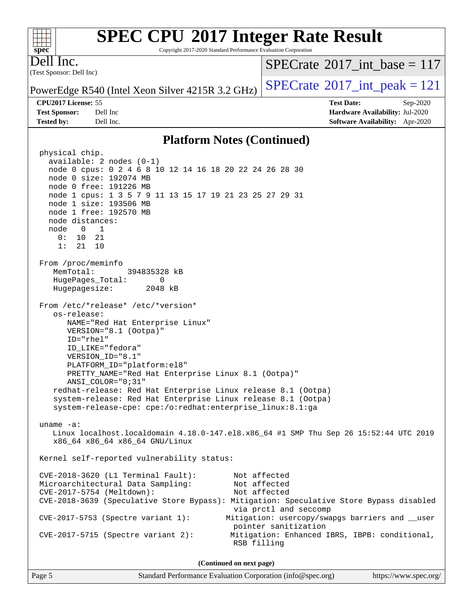Copyright 2017-2020 Standard Performance Evaluation Corporation

Dell Inc.

**[spec](http://www.spec.org/)**

 $+\ +$ 

(Test Sponsor: Dell Inc)

 $SPECTate$ <sup>®</sup>[2017\\_int\\_base =](http://www.spec.org/auto/cpu2017/Docs/result-fields.html#SPECrate2017intbase) 117

PowerEdge R540 (Intel Xeon Silver 4215R 3.2 GHz)  $\left|$  [SPECrate](http://www.spec.org/auto/cpu2017/Docs/result-fields.html#SPECrate2017intpeak)<sup>®</sup>[2017\\_int\\_peak = 1](http://www.spec.org/auto/cpu2017/Docs/result-fields.html#SPECrate2017intpeak)21

**[Test Sponsor:](http://www.spec.org/auto/cpu2017/Docs/result-fields.html#TestSponsor)** Dell Inc **[Hardware Availability:](http://www.spec.org/auto/cpu2017/Docs/result-fields.html#HardwareAvailability)** Jul-2020 **[Tested by:](http://www.spec.org/auto/cpu2017/Docs/result-fields.html#Testedby)** Dell Inc. **[Software Availability:](http://www.spec.org/auto/cpu2017/Docs/result-fields.html#SoftwareAvailability)** Apr-2020

**[CPU2017 License:](http://www.spec.org/auto/cpu2017/Docs/result-fields.html#CPU2017License)** 55 **[Test Date:](http://www.spec.org/auto/cpu2017/Docs/result-fields.html#TestDate)** Sep-2020

### **[Platform Notes \(Continued\)](http://www.spec.org/auto/cpu2017/Docs/result-fields.html#PlatformNotes)**

 physical chip. available: 2 nodes (0-1) node 0 cpus: 0 2 4 6 8 10 12 14 16 18 20 22 24 26 28 30 node 0 size: 192074 MB node 0 free: 191226 MB node 1 cpus: 1 3 5 7 9 11 13 15 17 19 21 23 25 27 29 31 node 1 size: 193506 MB node 1 free: 192570 MB node distances: node 0 1 0: 10 21 1: 21 10 From /proc/meminfo MemTotal: 394835328 kB HugePages\_Total: 0 Hugepagesize: 2048 kB From /etc/\*release\* /etc/\*version\* os-release: NAME="Red Hat Enterprise Linux" VERSION="8.1 (Ootpa)" ID="rhel" ID\_LIKE="fedora" VERSION\_ID="8.1" PLATFORM\_ID="platform:el8" PRETTY\_NAME="Red Hat Enterprise Linux 8.1 (Ootpa)" ANSI\_COLOR="0;31" redhat-release: Red Hat Enterprise Linux release 8.1 (Ootpa) system-release: Red Hat Enterprise Linux release 8.1 (Ootpa) system-release-cpe: cpe:/o:redhat:enterprise\_linux:8.1:ga uname -a: Linux localhost.localdomain 4.18.0-147.el8.x86\_64 #1 SMP Thu Sep 26 15:52:44 UTC 2019 x86\_64 x86\_64 x86\_64 GNU/Linux Kernel self-reported vulnerability status: CVE-2018-3620 (L1 Terminal Fault): Not affected Microarchitectural Data Sampling: Not affected CVE-2017-5754 (Meltdown): Not affected CVE-2018-3639 (Speculative Store Bypass): Mitigation: Speculative Store Bypass disabled via prctl and seccomp CVE-2017-5753 (Spectre variant 1): Mitigation: usercopy/swapgs barriers and \_\_user pointer sanitization CVE-2017-5715 (Spectre variant 2): Mitigation: Enhanced IBRS, IBPB: conditional, RSB filling **(Continued on next page)**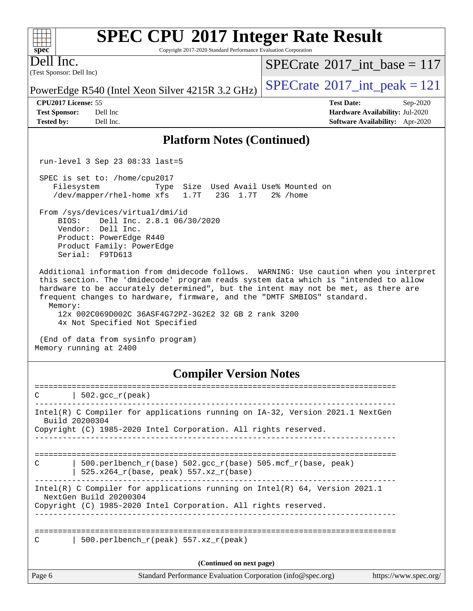Copyright 2017-2020 Standard Performance Evaluation Corporation

(Test Sponsor: Dell Inc) Dell Inc.

**[spec](http://www.spec.org/)**

 $+\ +$ 

 $SPECTate$ <sup>®</sup>[2017\\_int\\_base =](http://www.spec.org/auto/cpu2017/Docs/result-fields.html#SPECrate2017intbase) 117

PowerEdge R540 (Intel Xeon Silver 4215R 3.2 GHz)  $\left|$  [SPECrate](http://www.spec.org/auto/cpu2017/Docs/result-fields.html#SPECrate2017intpeak)<sup>®</sup>[2017\\_int\\_peak = 1](http://www.spec.org/auto/cpu2017/Docs/result-fields.html#SPECrate2017intpeak)21

**[Tested by:](http://www.spec.org/auto/cpu2017/Docs/result-fields.html#Testedby)** Dell Inc. **[Software Availability:](http://www.spec.org/auto/cpu2017/Docs/result-fields.html#SoftwareAvailability)** Apr-2020

**[CPU2017 License:](http://www.spec.org/auto/cpu2017/Docs/result-fields.html#CPU2017License)** 55 **[Test Date:](http://www.spec.org/auto/cpu2017/Docs/result-fields.html#TestDate)** Sep-2020 **[Test Sponsor:](http://www.spec.org/auto/cpu2017/Docs/result-fields.html#TestSponsor)** Dell Inc **[Hardware Availability:](http://www.spec.org/auto/cpu2017/Docs/result-fields.html#HardwareAvailability)** Jul-2020

### **[Platform Notes \(Continued\)](http://www.spec.org/auto/cpu2017/Docs/result-fields.html#PlatformNotes)**

run-level 3 Sep 23 08:33 last=5

 SPEC is set to: /home/cpu2017 Filesystem Type Size Used Avail Use% Mounted on /dev/mapper/rhel-home xfs 1.7T 23G 1.7T 2% /home

 From /sys/devices/virtual/dmi/id BIOS: Dell Inc. 2.8.1 06/30/2020

 Vendor: Dell Inc. Product: PowerEdge R440 Product Family: PowerEdge Serial: F9TD613

 Additional information from dmidecode follows. WARNING: Use caution when you interpret this section. The 'dmidecode' program reads system data which is "intended to allow hardware to be accurately determined", but the intent may not be met, as there are frequent changes to hardware, firmware, and the "DMTF SMBIOS" standard. Memory:

 12x 002C069D002C 36ASF4G72PZ-3G2E2 32 GB 2 rank 3200 4x Not Specified Not Specified

 (End of data from sysinfo program) Memory running at 2400

### **[Compiler Version Notes](http://www.spec.org/auto/cpu2017/Docs/result-fields.html#CompilerVersionNotes)**

| C      | $502.\text{qcc r (peak)}$                                                                                    |                       |
|--------|--------------------------------------------------------------------------------------------------------------|-----------------------|
|        |                                                                                                              |                       |
|        | Intel(R) C Compiler for applications running on IA-32, Version 2021.1 NextGen<br>Build 20200304              |                       |
|        | Copyright (C) 1985-2020 Intel Corporation. All rights reserved.                                              |                       |
|        |                                                                                                              |                       |
| C      | 500.perlbench $r(base)$ 502.qcc $r(base)$ 505.mcf $r(base, peak)$<br>$525.x264_r(base, peak) 557.xz_r(base)$ |                       |
|        | Intel(R) C Compiler for applications running on Intel(R) $64$ , Version 2021.1<br>NextGen Build 20200304     |                       |
|        | Copyright (C) 1985-2020 Intel Corporation. All rights reserved.                                              |                       |
|        |                                                                                                              |                       |
| C      | 500.perlbench $r(\text{peak})$ 557.xz $r(\text{peak})$                                                       |                       |
|        | (Continued on next page)                                                                                     |                       |
| Page 6 | Standard Performance Evaluation Corporation (info@spec.org)                                                  | https://www.spec.org/ |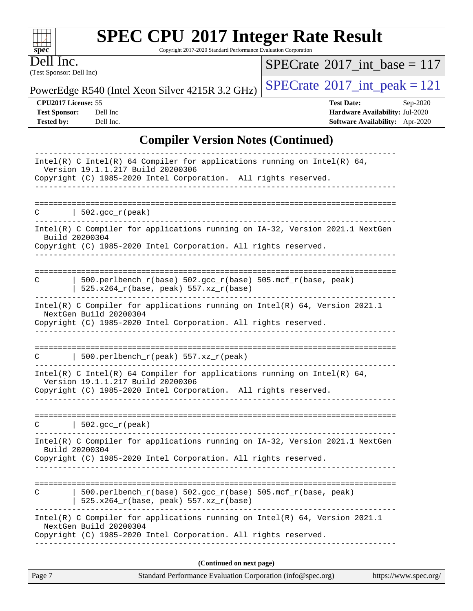Copyright 2017-2020 Standard Performance Evaluation Corporation

(Test Sponsor: Dell Inc) Dell Inc.

**[spec](http://www.spec.org/)**

 $\color{red} \dashv \dashv \color{red} \dashv$ 

 $SPECrate$ <sup>®</sup>[2017\\_int\\_base =](http://www.spec.org/auto/cpu2017/Docs/result-fields.html#SPECrate2017intbase) 117

PowerEdge R540 (Intel Xeon Silver 4215R 3.2 GHz)  $\left|$  [SPECrate](http://www.spec.org/auto/cpu2017/Docs/result-fields.html#SPECrate2017intpeak)®[2017\\_int\\_peak = 1](http://www.spec.org/auto/cpu2017/Docs/result-fields.html#SPECrate2017intpeak)21

**[CPU2017 License:](http://www.spec.org/auto/cpu2017/Docs/result-fields.html#CPU2017License)** 55 **[Test Date:](http://www.spec.org/auto/cpu2017/Docs/result-fields.html#TestDate)** Sep-2020 **[Test Sponsor:](http://www.spec.org/auto/cpu2017/Docs/result-fields.html#TestSponsor)** Dell Inc **[Hardware Availability:](http://www.spec.org/auto/cpu2017/Docs/result-fields.html#HardwareAvailability)** Jul-2020 **[Tested by:](http://www.spec.org/auto/cpu2017/Docs/result-fields.html#Testedby)** Dell Inc. **[Software Availability:](http://www.spec.org/auto/cpu2017/Docs/result-fields.html#SoftwareAvailability)** Apr-2020

### **[Compiler Version Notes \(Continued\)](http://www.spec.org/auto/cpu2017/Docs/result-fields.html#CompilerVersionNotes)**

| Page 7         | Standard Performance Evaluation Corporation (info@spec.org)                                                                                                                      | https://www.spec.org/ |
|----------------|----------------------------------------------------------------------------------------------------------------------------------------------------------------------------------|-----------------------|
|                | (Continued on next page)                                                                                                                                                         |                       |
|                | Intel(R) C Compiler for applications running on $Intel(R) 64$ , Version 2021.1<br>NextGen Build 20200304<br>Copyright (C) 1985-2020 Intel Corporation. All rights reserved.      |                       |
|                | 500.perlbench_r(base) 502.gcc_r(base) 505.mcf_r(base, peak)<br>525.x264_r(base, peak) 557.xz_r(base)                                                                             |                       |
| Build 20200304 | Copyright (C) 1985-2020 Intel Corporation. All rights reserved.                                                                                                                  |                       |
|                | Intel(R) C Compiler for applications running on IA-32, Version 2021.1 NextGen                                                                                                    |                       |
| C              | $  502.\text{gcc_r(peak)}$                                                                                                                                                       |                       |
|                | Intel(R) C Intel(R) 64 Compiler for applications running on Intel(R) 64,<br>Version 19.1.1.217 Build 20200306<br>Copyright (C) 1985-2020 Intel Corporation. All rights reserved. |                       |
| C              | 500.perlbench_r(peak) 557.xz_r(peak)                                                                                                                                             |                       |
|                | Copyright (C) 1985-2020 Intel Corporation. All rights reserved.                                                                                                                  |                       |
|                | Intel(R) C Compiler for applications running on $Intel(R) 64$ , Version 2021.1<br>NextGen Build 20200304                                                                         |                       |
| C              | 500.perlbench_r(base) 502.gcc_r(base) 505.mcf_r(base, peak)<br>$525.x264_r(base, peak) 557.xz_r(base)$                                                                           |                       |
| Build 20200304 | Intel(R) C Compiler for applications running on IA-32, Version 2021.1 NextGen<br>Copyright (C) 1985-2020 Intel Corporation. All rights reserved.                                 |                       |
| C              | $\vert$ 502.gcc_r(peak)                                                                                                                                                          |                       |
|                | <u>_______________</u>                                                                                                                                                           |                       |
|                | Intel(R) C Intel(R) 64 Compiler for applications running on Intel(R) 64,<br>Version 19.1.1.217 Build 20200306<br>Copyright (C) 1985-2020 Intel Corporation. All rights reserved. |                       |
|                |                                                                                                                                                                                  |                       |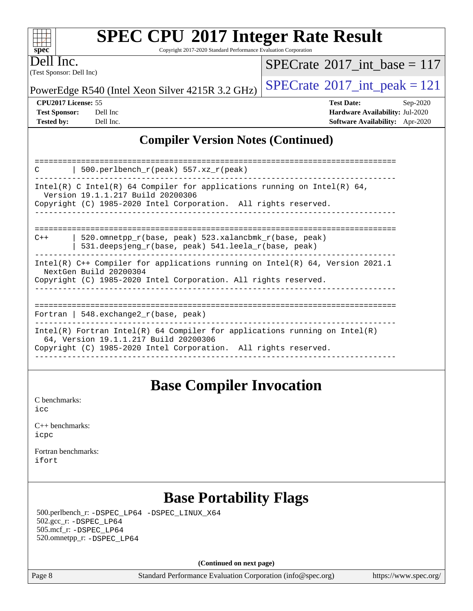Copyright 2017-2020 Standard Performance Evaluation Corporation

Dell Inc.

**[spec](http://www.spec.org/)**

 $+\ +$ 

(Test Sponsor: Dell Inc)

 $SPECTate$ <sup>®</sup>[2017\\_int\\_base =](http://www.spec.org/auto/cpu2017/Docs/result-fields.html#SPECrate2017intbase) 117

PowerEdge R540 (Intel Xeon Silver 4215R 3.2 GHz)  $\left|$  [SPECrate](http://www.spec.org/auto/cpu2017/Docs/result-fields.html#SPECrate2017intpeak)®[2017\\_int\\_peak = 1](http://www.spec.org/auto/cpu2017/Docs/result-fields.html#SPECrate2017intpeak)21

**[CPU2017 License:](http://www.spec.org/auto/cpu2017/Docs/result-fields.html#CPU2017License)** 55 **[Test Date:](http://www.spec.org/auto/cpu2017/Docs/result-fields.html#TestDate)** Sep-2020

**[Test Sponsor:](http://www.spec.org/auto/cpu2017/Docs/result-fields.html#TestSponsor)** Dell Inc **[Hardware Availability:](http://www.spec.org/auto/cpu2017/Docs/result-fields.html#HardwareAvailability)** Jul-2020 **[Tested by:](http://www.spec.org/auto/cpu2017/Docs/result-fields.html#Testedby)** Dell Inc. **[Software Availability:](http://www.spec.org/auto/cpu2017/Docs/result-fields.html#SoftwareAvailability)** Apr-2020

### **[Compiler Version Notes \(Continued\)](http://www.spec.org/auto/cpu2017/Docs/result-fields.html#CompilerVersionNotes)**

| 500.perlbench $r(\text{peak})$ 557.xz $r(\text{peak})$<br>$\mathcal{C}$                                               |  |  |  |  |  |
|-----------------------------------------------------------------------------------------------------------------------|--|--|--|--|--|
| Intel(R) C Intel(R) 64 Compiler for applications running on Intel(R) 64,<br>Version 19.1.1.217 Build 20200306         |  |  |  |  |  |
| Copyright (C) 1985-2020 Intel Corporation. All rights reserved.                                                       |  |  |  |  |  |
|                                                                                                                       |  |  |  |  |  |
| 520.omnetpp r(base, peak) 523.xalancbmk r(base, peak)<br>$C++$<br>531.deepsjeng_r(base, peak) 541.leela_r(base, peak) |  |  |  |  |  |
| Intel(R) $C++$ Compiler for applications running on Intel(R) 64, Version 2021.1<br>NextGen Build 20200304             |  |  |  |  |  |
| Copyright (C) 1985-2020 Intel Corporation. All rights reserved.                                                       |  |  |  |  |  |
|                                                                                                                       |  |  |  |  |  |
| Fortran   548. $exchange2 r(base, peak)$                                                                              |  |  |  |  |  |
| Intel(R) Fortran Intel(R) 64 Compiler for applications running on Intel(R)<br>64, Version 19.1.1.217 Build 20200306   |  |  |  |  |  |
| Copyright (C) 1985-2020 Intel Corporation. All rights reserved.                                                       |  |  |  |  |  |

### **[Base Compiler Invocation](http://www.spec.org/auto/cpu2017/Docs/result-fields.html#BaseCompilerInvocation)**

[C benchmarks](http://www.spec.org/auto/cpu2017/Docs/result-fields.html#Cbenchmarks): [icc](http://www.spec.org/cpu2017/results/res2020q4/cpu2017-20200928-24079.flags.html#user_CCbase_intel_icc_66fc1ee009f7361af1fbd72ca7dcefbb700085f36577c54f309893dd4ec40d12360134090235512931783d35fd58c0460139e722d5067c5574d8eaf2b3e37e92)

| $C_{++}$ benchmarks: |  |
|----------------------|--|
| icpc                 |  |

[Fortran benchmarks](http://www.spec.org/auto/cpu2017/Docs/result-fields.html#Fortranbenchmarks): [ifort](http://www.spec.org/cpu2017/results/res2020q4/cpu2017-20200928-24079.flags.html#user_FCbase_intel_ifort_8111460550e3ca792625aed983ce982f94888b8b503583aa7ba2b8303487b4d8a21a13e7191a45c5fd58ff318f48f9492884d4413fa793fd88dd292cad7027ca)

### **[Base Portability Flags](http://www.spec.org/auto/cpu2017/Docs/result-fields.html#BasePortabilityFlags)**

 500.perlbench\_r: [-DSPEC\\_LP64](http://www.spec.org/cpu2017/results/res2020q4/cpu2017-20200928-24079.flags.html#b500.perlbench_r_basePORTABILITY_DSPEC_LP64) [-DSPEC\\_LINUX\\_X64](http://www.spec.org/cpu2017/results/res2020q4/cpu2017-20200928-24079.flags.html#b500.perlbench_r_baseCPORTABILITY_DSPEC_LINUX_X64) 502.gcc\_r: [-DSPEC\\_LP64](http://www.spec.org/cpu2017/results/res2020q4/cpu2017-20200928-24079.flags.html#suite_basePORTABILITY502_gcc_r_DSPEC_LP64) 505.mcf\_r: [-DSPEC\\_LP64](http://www.spec.org/cpu2017/results/res2020q4/cpu2017-20200928-24079.flags.html#suite_basePORTABILITY505_mcf_r_DSPEC_LP64) 520.omnetpp\_r: [-DSPEC\\_LP64](http://www.spec.org/cpu2017/results/res2020q4/cpu2017-20200928-24079.flags.html#suite_basePORTABILITY520_omnetpp_r_DSPEC_LP64)

**(Continued on next page)**

Page 8 Standard Performance Evaluation Corporation [\(info@spec.org\)](mailto:info@spec.org) <https://www.spec.org/>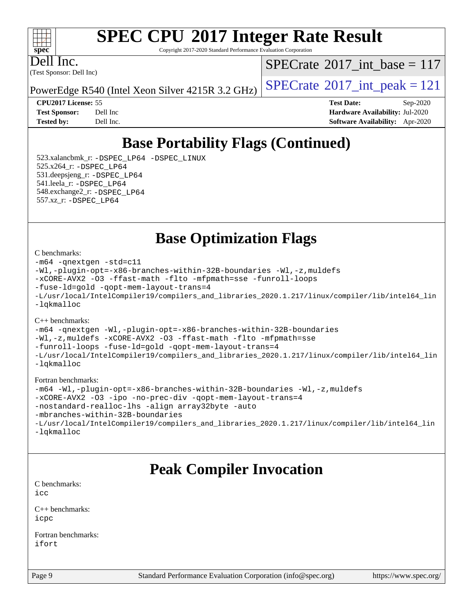#### $+\ +$ **[spec](http://www.spec.org/)**

# **[SPEC CPU](http://www.spec.org/auto/cpu2017/Docs/result-fields.html#SPECCPU2017IntegerRateResult)[2017 Integer Rate Result](http://www.spec.org/auto/cpu2017/Docs/result-fields.html#SPECCPU2017IntegerRateResult)**

Copyright 2017-2020 Standard Performance Evaluation Corporation

(Test Sponsor: Dell Inc) Dell Inc.

 $SPECTate$ <sup>®</sup>[2017\\_int\\_base =](http://www.spec.org/auto/cpu2017/Docs/result-fields.html#SPECrate2017intbase) 117

PowerEdge R540 (Intel Xeon Silver 4215R 3.2 GHz)  $\left|$  [SPECrate](http://www.spec.org/auto/cpu2017/Docs/result-fields.html#SPECrate2017intpeak)<sup>®</sup>[2017\\_int\\_peak = 1](http://www.spec.org/auto/cpu2017/Docs/result-fields.html#SPECrate2017intpeak)21

**[CPU2017 License:](http://www.spec.org/auto/cpu2017/Docs/result-fields.html#CPU2017License)** 55 **[Test Date:](http://www.spec.org/auto/cpu2017/Docs/result-fields.html#TestDate)** Sep-2020 **[Test Sponsor:](http://www.spec.org/auto/cpu2017/Docs/result-fields.html#TestSponsor)** Dell Inc **[Hardware Availability:](http://www.spec.org/auto/cpu2017/Docs/result-fields.html#HardwareAvailability)** Jul-2020 **[Tested by:](http://www.spec.org/auto/cpu2017/Docs/result-fields.html#Testedby)** Dell Inc. **[Software Availability:](http://www.spec.org/auto/cpu2017/Docs/result-fields.html#SoftwareAvailability)** Apr-2020

## **[Base Portability Flags \(Continued\)](http://www.spec.org/auto/cpu2017/Docs/result-fields.html#BasePortabilityFlags)**

 523.xalancbmk\_r: [-DSPEC\\_LP64](http://www.spec.org/cpu2017/results/res2020q4/cpu2017-20200928-24079.flags.html#suite_basePORTABILITY523_xalancbmk_r_DSPEC_LP64) [-DSPEC\\_LINUX](http://www.spec.org/cpu2017/results/res2020q4/cpu2017-20200928-24079.flags.html#b523.xalancbmk_r_baseCXXPORTABILITY_DSPEC_LINUX) 525.x264\_r: [-DSPEC\\_LP64](http://www.spec.org/cpu2017/results/res2020q4/cpu2017-20200928-24079.flags.html#suite_basePORTABILITY525_x264_r_DSPEC_LP64) 531.deepsjeng\_r: [-DSPEC\\_LP64](http://www.spec.org/cpu2017/results/res2020q4/cpu2017-20200928-24079.flags.html#suite_basePORTABILITY531_deepsjeng_r_DSPEC_LP64) 541.leela\_r: [-DSPEC\\_LP64](http://www.spec.org/cpu2017/results/res2020q4/cpu2017-20200928-24079.flags.html#suite_basePORTABILITY541_leela_r_DSPEC_LP64) 548.exchange2\_r: [-DSPEC\\_LP64](http://www.spec.org/cpu2017/results/res2020q4/cpu2017-20200928-24079.flags.html#suite_basePORTABILITY548_exchange2_r_DSPEC_LP64) 557.xz\_r: [-DSPEC\\_LP64](http://www.spec.org/cpu2017/results/res2020q4/cpu2017-20200928-24079.flags.html#suite_basePORTABILITY557_xz_r_DSPEC_LP64)

**[Base Optimization Flags](http://www.spec.org/auto/cpu2017/Docs/result-fields.html#BaseOptimizationFlags)**

[C benchmarks](http://www.spec.org/auto/cpu2017/Docs/result-fields.html#Cbenchmarks):

```
-m64 -qnextgen -std=c11
-Wl,-plugin-opt=-x86-branches-within-32B-boundaries -Wl,-z,muldefs
-xCORE-AVX2 -O3 -ffast-math -flto -mfpmath=sse -funroll-loops
-fuse-ld=gold -qopt-mem-layout-trans=4
-L/usr/local/IntelCompiler19/compilers_and_libraries_2020.1.217/linux/compiler/lib/intel64_lin
-lqkmalloc
```
[C++ benchmarks](http://www.spec.org/auto/cpu2017/Docs/result-fields.html#CXXbenchmarks):

[-m64](http://www.spec.org/cpu2017/results/res2020q4/cpu2017-20200928-24079.flags.html#user_CXXbase_m64-icc) [-qnextgen](http://www.spec.org/cpu2017/results/res2020q4/cpu2017-20200928-24079.flags.html#user_CXXbase_f-qnextgen) [-Wl,-plugin-opt=-x86-branches-within-32B-boundaries](http://www.spec.org/cpu2017/results/res2020q4/cpu2017-20200928-24079.flags.html#user_CXXbase_f-x86-branches-within-32B-boundaries_0098b4e4317ae60947b7b728078a624952a08ac37a3c797dfb4ffeb399e0c61a9dd0f2f44ce917e9361fb9076ccb15e7824594512dd315205382d84209e912f3) [-Wl,-z,muldefs](http://www.spec.org/cpu2017/results/res2020q4/cpu2017-20200928-24079.flags.html#user_CXXbase_link_force_multiple1_b4cbdb97b34bdee9ceefcfe54f4c8ea74255f0b02a4b23e853cdb0e18eb4525ac79b5a88067c842dd0ee6996c24547a27a4b99331201badda8798ef8a743f577) [-xCORE-AVX2](http://www.spec.org/cpu2017/results/res2020q4/cpu2017-20200928-24079.flags.html#user_CXXbase_f-xCORE-AVX2) [-O3](http://www.spec.org/cpu2017/results/res2020q4/cpu2017-20200928-24079.flags.html#user_CXXbase_f-O3) [-ffast-math](http://www.spec.org/cpu2017/results/res2020q4/cpu2017-20200928-24079.flags.html#user_CXXbase_f-ffast-math) [-flto](http://www.spec.org/cpu2017/results/res2020q4/cpu2017-20200928-24079.flags.html#user_CXXbase_f-flto) [-mfpmath=sse](http://www.spec.org/cpu2017/results/res2020q4/cpu2017-20200928-24079.flags.html#user_CXXbase_f-mfpmath_70eb8fac26bde974f8ab713bc9086c5621c0b8d2f6c86f38af0bd7062540daf19db5f3a066d8c6684be05d84c9b6322eb3b5be6619d967835195b93d6c02afa1) [-funroll-loops](http://www.spec.org/cpu2017/results/res2020q4/cpu2017-20200928-24079.flags.html#user_CXXbase_f-funroll-loops) [-fuse-ld=gold](http://www.spec.org/cpu2017/results/res2020q4/cpu2017-20200928-24079.flags.html#user_CXXbase_f-fuse-ld_920b3586e2b8c6e0748b9c84fa9b744736ba725a32cab14ad8f3d4ad28eecb2f59d1144823d2e17006539a88734fe1fc08fc3035f7676166309105a78aaabc32) [-qopt-mem-layout-trans=4](http://www.spec.org/cpu2017/results/res2020q4/cpu2017-20200928-24079.flags.html#user_CXXbase_f-qopt-mem-layout-trans_fa39e755916c150a61361b7846f310bcdf6f04e385ef281cadf3647acec3f0ae266d1a1d22d972a7087a248fd4e6ca390a3634700869573d231a252c784941a8) [-L/usr/local/IntelCompiler19/compilers\\_and\\_libraries\\_2020.1.217/linux/compiler/lib/intel64\\_lin](http://www.spec.org/cpu2017/results/res2020q4/cpu2017-20200928-24079.flags.html#user_CXXbase_linkpath_2cb6f503891ebf8baee7515f4e7d4ec1217444d1d05903cc0091ac4158de400651d2b2313a9fa414cb8a8f0e16ab029634f5c6db340f400369c190d4db8a54a0) [-lqkmalloc](http://www.spec.org/cpu2017/results/res2020q4/cpu2017-20200928-24079.flags.html#user_CXXbase_qkmalloc_link_lib_79a818439969f771c6bc311cfd333c00fc099dad35c030f5aab9dda831713d2015205805422f83de8875488a2991c0a156aaa600e1f9138f8fc37004abc96dc5)

[Fortran benchmarks:](http://www.spec.org/auto/cpu2017/Docs/result-fields.html#Fortranbenchmarks)

```
-m64 -Wl,-plugin-opt=-x86-branches-within-32B-boundaries -Wl,-z,muldefs
-xCORE-AVX2 -O3 -ipo -no-prec-div -qopt-mem-layout-trans=4
-nostandard-realloc-lhs -align array32byte -auto
-mbranches-within-32B-boundaries
-L/usr/local/IntelCompiler19/compilers_and_libraries_2020.1.217/linux/compiler/lib/intel64_lin
-lqkmalloc
```
### **[Peak Compiler Invocation](http://www.spec.org/auto/cpu2017/Docs/result-fields.html#PeakCompilerInvocation)**

[C benchmarks](http://www.spec.org/auto/cpu2017/Docs/result-fields.html#Cbenchmarks): [icc](http://www.spec.org/cpu2017/results/res2020q4/cpu2017-20200928-24079.flags.html#user_CCpeak_intel_icc_66fc1ee009f7361af1fbd72ca7dcefbb700085f36577c54f309893dd4ec40d12360134090235512931783d35fd58c0460139e722d5067c5574d8eaf2b3e37e92)

[C++ benchmarks:](http://www.spec.org/auto/cpu2017/Docs/result-fields.html#CXXbenchmarks) [icpc](http://www.spec.org/cpu2017/results/res2020q4/cpu2017-20200928-24079.flags.html#user_CXXpeak_intel_icpc_c510b6838c7f56d33e37e94d029a35b4a7bccf4766a728ee175e80a419847e808290a9b78be685c44ab727ea267ec2f070ec5dc83b407c0218cded6866a35d07)

[Fortran benchmarks](http://www.spec.org/auto/cpu2017/Docs/result-fields.html#Fortranbenchmarks): [ifort](http://www.spec.org/cpu2017/results/res2020q4/cpu2017-20200928-24079.flags.html#user_FCpeak_intel_ifort_8111460550e3ca792625aed983ce982f94888b8b503583aa7ba2b8303487b4d8a21a13e7191a45c5fd58ff318f48f9492884d4413fa793fd88dd292cad7027ca)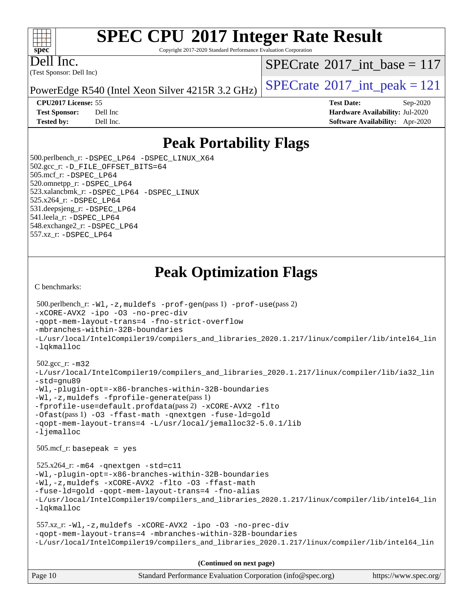Copyright 2017-2020 Standard Performance Evaluation Corporation

Dell Inc.

(Test Sponsor: Dell Inc)

 $SPECTate$ <sup>®</sup>[2017\\_int\\_base =](http://www.spec.org/auto/cpu2017/Docs/result-fields.html#SPECrate2017intbase) 117

PowerEdge R540 (Intel Xeon Silver 4215R 3.2 GHz)  $\left|$  [SPECrate](http://www.spec.org/auto/cpu2017/Docs/result-fields.html#SPECrate2017intpeak)<sup>®</sup>[2017\\_int\\_peak = 1](http://www.spec.org/auto/cpu2017/Docs/result-fields.html#SPECrate2017intpeak)21

**[Test Sponsor:](http://www.spec.org/auto/cpu2017/Docs/result-fields.html#TestSponsor)** Dell Inc **[Hardware Availability:](http://www.spec.org/auto/cpu2017/Docs/result-fields.html#HardwareAvailability)** Jul-2020 **[Tested by:](http://www.spec.org/auto/cpu2017/Docs/result-fields.html#Testedby)** Dell Inc. **[Software Availability:](http://www.spec.org/auto/cpu2017/Docs/result-fields.html#SoftwareAvailability)** Apr-2020

**[CPU2017 License:](http://www.spec.org/auto/cpu2017/Docs/result-fields.html#CPU2017License)** 55 **[Test Date:](http://www.spec.org/auto/cpu2017/Docs/result-fields.html#TestDate)** Sep-2020

**[Peak Portability Flags](http://www.spec.org/auto/cpu2017/Docs/result-fields.html#PeakPortabilityFlags)**

 500.perlbench\_r: [-DSPEC\\_LP64](http://www.spec.org/cpu2017/results/res2020q4/cpu2017-20200928-24079.flags.html#b500.perlbench_r_peakPORTABILITY_DSPEC_LP64) [-DSPEC\\_LINUX\\_X64](http://www.spec.org/cpu2017/results/res2020q4/cpu2017-20200928-24079.flags.html#b500.perlbench_r_peakCPORTABILITY_DSPEC_LINUX_X64) 502.gcc\_r: [-D\\_FILE\\_OFFSET\\_BITS=64](http://www.spec.org/cpu2017/results/res2020q4/cpu2017-20200928-24079.flags.html#user_peakPORTABILITY502_gcc_r_file_offset_bits_64_5ae949a99b284ddf4e95728d47cb0843d81b2eb0e18bdfe74bbf0f61d0b064f4bda2f10ea5eb90e1dcab0e84dbc592acfc5018bc955c18609f94ddb8d550002c) 505.mcf\_r: [-DSPEC\\_LP64](http://www.spec.org/cpu2017/results/res2020q4/cpu2017-20200928-24079.flags.html#suite_peakPORTABILITY505_mcf_r_DSPEC_LP64) 520.omnetpp\_r: [-DSPEC\\_LP64](http://www.spec.org/cpu2017/results/res2020q4/cpu2017-20200928-24079.flags.html#suite_peakPORTABILITY520_omnetpp_r_DSPEC_LP64) 523.xalancbmk\_r: [-DSPEC\\_LP64](http://www.spec.org/cpu2017/results/res2020q4/cpu2017-20200928-24079.flags.html#suite_peakPORTABILITY523_xalancbmk_r_DSPEC_LP64) [-DSPEC\\_LINUX](http://www.spec.org/cpu2017/results/res2020q4/cpu2017-20200928-24079.flags.html#b523.xalancbmk_r_peakCXXPORTABILITY_DSPEC_LINUX) 525.x264\_r: [-DSPEC\\_LP64](http://www.spec.org/cpu2017/results/res2020q4/cpu2017-20200928-24079.flags.html#suite_peakPORTABILITY525_x264_r_DSPEC_LP64) 531.deepsjeng\_r: [-DSPEC\\_LP64](http://www.spec.org/cpu2017/results/res2020q4/cpu2017-20200928-24079.flags.html#suite_peakPORTABILITY531_deepsjeng_r_DSPEC_LP64) 541.leela\_r: [-DSPEC\\_LP64](http://www.spec.org/cpu2017/results/res2020q4/cpu2017-20200928-24079.flags.html#suite_peakPORTABILITY541_leela_r_DSPEC_LP64) 548.exchange2\_r: [-DSPEC\\_LP64](http://www.spec.org/cpu2017/results/res2020q4/cpu2017-20200928-24079.flags.html#suite_peakPORTABILITY548_exchange2_r_DSPEC_LP64) 557.xz\_r: [-DSPEC\\_LP64](http://www.spec.org/cpu2017/results/res2020q4/cpu2017-20200928-24079.flags.html#suite_peakPORTABILITY557_xz_r_DSPEC_LP64)

### **[Peak Optimization Flags](http://www.spec.org/auto/cpu2017/Docs/result-fields.html#PeakOptimizationFlags)**

[C benchmarks](http://www.spec.org/auto/cpu2017/Docs/result-fields.html#Cbenchmarks):

```
Page 10 Standard Performance Evaluation Corporation (info@spec.org) https://www.spec.org/
  500.perlbench_r: -Wl,-z,muldefs -prof-gen(pass 1) -prof-use(pass 2)
-xCORE-AVX2 -ipo -O3 -no-prec-div
-qopt-mem-layout-trans=4 -fno-strict-overflow
-mbranches-within-32B-boundaries
-L/usr/local/IntelCompiler19/compilers_and_libraries_2020.1.217/linux/compiler/lib/intel64_lin
-lqkmalloc
  502.gcc_r: -m32
-L/usr/local/IntelCompiler19/compilers_and_libraries_2020.1.217/linux/compiler/lib/ia32_lin
-std=gnu89
-Wl,-plugin-opt=-x86-branches-within-32B-boundaries
-Wl,-z,muldefs -fprofile-generate(pass 1)
-fprofile-use=default.profdata(pass 2) -xCORE-AVX2 -flto
-Ofast(pass 1) -O3 -ffast-math -qnextgen -fuse-ld=gold
-qopt-mem-layout-trans=4 -L/usr/local/jemalloc32-5.0.1/lib
-ljemalloc
  505.mcf_r: basepeak = yes
  525.x264_r: -m64 -qnextgen -std=c11
-Wl,-plugin-opt=-x86-branches-within-32B-boundaries
-Wl,-z,muldefs -xCORE-AVX2 -flto -O3 -ffast-math
-fuse-ld=gold -qopt-mem-layout-trans=4 -fno-alias
-L/usr/local/IntelCompiler19/compilers_and_libraries_2020.1.217/linux/compiler/lib/intel64_lin
-lqkmalloc
  557.xz_r: -Wl,-z,muldefs -xCORE-AVX2 -ipo -O3 -no-prec-div
-qopt-mem-layout-trans=4 -mbranches-within-32B-boundaries
-L/usr/local/IntelCompiler19/compilers_and_libraries_2020.1.217/linux/compiler/lib/intel64_lin
                                      (Continued on next page)
```
 $+\ +$ **[spec](http://www.spec.org/)**